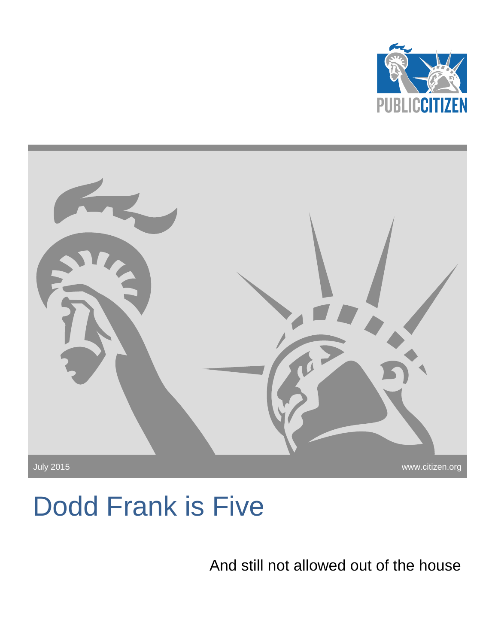



# Dodd Frank is Five

And still not allowed out of the house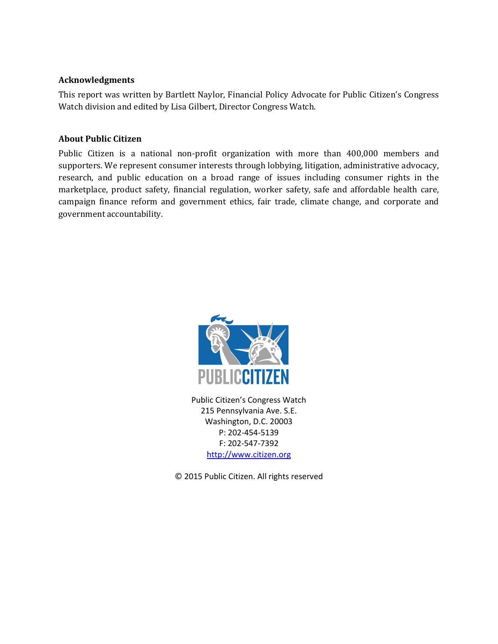#### **Acknowledgments**

This report was written by Bartlett Naylor, Financial Policy Advocate for Public Citizen's Congress Watch division and edited by Lisa Gilbert, Director Congress Watch.

#### **About Public Citizen**

Public Citizen is a national non-profit organization with more than 400,000 members and supporters. We represent consumer interests through lobbying, litigation, administrative advocacy, research, and public education on a broad range of issues including consumer rights in the marketplace, product safety, financial regulation, worker safety, safe and affordable health care, campaign finance reform and government ethics, fair trade, climate change, and corporate and government accountability.



Public Citizen's Congress Watch 215 Pennsylvania Ave. S.E. Washington, D.C. 20003 P: 202-454-5139 F: 202-547-7392 [http://www.citizen.org](http://www.citizen.org/)

© 2015 Public Citizen. All rights reserved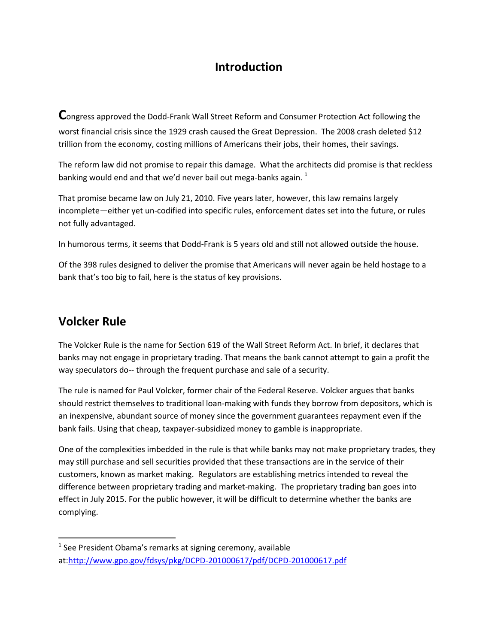# **Introduction**

**C**ongress approved the Dodd-Frank Wall Street Reform and Consumer Protection Act following the worst financial crisis since the 1929 crash caused the Great Depression. The 2008 crash deleted \$12 trillion from the economy, costing millions of Americans their jobs, their homes, their savings.

The reform law did not promise to repair this damage. What the architects did promise is that reckless banking would end and that we'd never bail out mega-banks again.  $1$ 

That promise became law on July 21, 2010. Five years later, however, this law remains largely incomplete—either yet un-codified into specific rules, enforcement dates set into the future, or rules not fully advantaged.

In humorous terms, it seems that Dodd-Frank is 5 years old and still not allowed outside the house.

Of the 398 rules designed to deliver the promise that Americans will never again be held hostage to a bank that's too big to fail, here is the status of key provisions.

## **Volcker Rule**

 $\overline{\phantom{a}}$ 

The Volcker Rule is the name for Section 619 of the Wall Street Reform Act. In brief, it declares that banks may not engage in proprietary trading. That means the bank cannot attempt to gain a profit the way speculators do-- through the frequent purchase and sale of a security.

The rule is named for Paul Volcker, former chair of the Federal Reserve. Volcker argues that banks should restrict themselves to traditional loan-making with funds they borrow from depositors, which is an inexpensive, abundant source of money since the government guarantees repayment even if the bank fails. Using that cheap, taxpayer-subsidized money to gamble is inappropriate.

One of the complexities imbedded in the rule is that while banks may not make proprietary trades, they may still purchase and sell securities provided that these transactions are in the service of their customers, known as market making. Regulators are establishing metrics intended to reveal the difference between proprietary trading and market-making. The proprietary trading ban goes into effect in July 2015. For the public however, it will be difficult to determine whether the banks are complying.

 $<sup>1</sup>$  See President Obama's remarks at signing ceremony, available</sup> at[:http://www.gpo.gov/fdsys/pkg/DCPD-201000617/pdf/DCPD-201000617.pdf](http://www.gpo.gov/fdsys/pkg/DCPD-201000617/pdf/DCPD-201000617.pdf)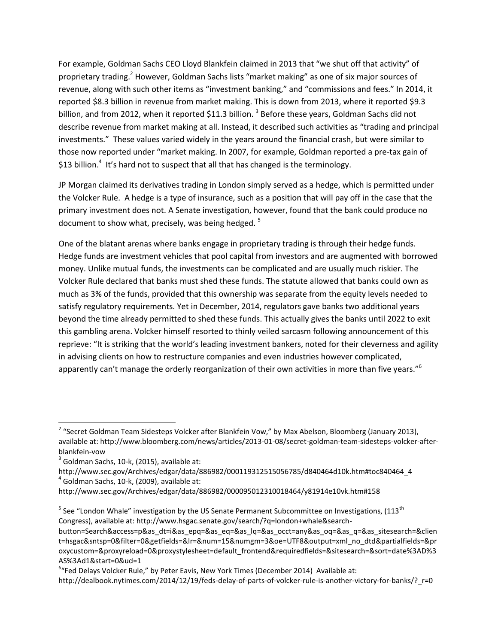For example, Goldman Sachs CEO Lloyd Blankfein claimed in 2013 that "we shut off that activity" of proprietary trading.<sup>2</sup> However, Goldman Sachs lists "market making" as one of six major sources of revenue, along with such other items as "investment banking," and "commissions and fees." In 2014, it reported \$8.3 billion in revenue from market making. This is down from 2013, where it reported \$9.3 billion, and from 2012, when it reported \$11.3 billion.  $^3$  Before these years, Goldman Sachs did not describe revenue from market making at all. Instead, it described such activities as "trading and principal investments." These values varied widely in the years around the financial crash, but were similar to those now reported under "market making. In 2007, for example, Goldman reported a pre-tax gain of \$13 billion.<sup>4</sup> It's hard not to suspect that all that has changed is the terminology.

JP Morgan claimed its derivatives trading in London simply served as a hedge, which is permitted under the Volcker Rule. A hedge is a type of insurance, such as a position that will pay off in the case that the primary investment does not. A Senate investigation, however, found that the bank could produce no document to show what, precisely, was being hedged.  $5$ 

One of the blatant arenas where banks engage in proprietary trading is through their hedge funds. Hedge funds are investment vehicles that pool capital from investors and are augmented with borrowed money. Unlike mutual funds, the investments can be complicated and are usually much riskier. The Volcker Rule declared that banks must shed these funds. The statute allowed that banks could own as much as 3% of the funds, provided that this ownership was separate from the equity levels needed to satisfy regulatory requirements. Yet in December, 2014, regulators gave banks two additional years beyond the time already permitted to shed these funds. This actually gives the banks until 2022 to exit this gambling arena. Volcker himself resorted to thinly veiled sarcasm following announcement of this reprieve: "It is striking that the world's leading investment bankers, noted for their cleverness and agility in advising clients on how to restructure companies and even industries however complicated, apparently can't manage the orderly reorganization of their own activities in more than five years."<sup>6</sup>

l

<sup>&</sup>lt;sup>2</sup> "Secret Goldman Team Sidesteps Volcker after Blankfein Vow," by Max Abelson, Bloomberg (January 2013), available at: http://www.bloomberg.com/news/articles/2013-01-08/secret-goldman-team-sidesteps-volcker-afterblankfein-vow

 $3$  Goldman Sachs, 10-k, (2015), available at:

http://www.sec.gov/Archives/edgar/data/886982/000119312515056785/d840464d10k.htm#toc840464\_4  $<sup>4</sup>$  Goldman Sachs, 10-k, (2009), available at:</sup>

http://www.sec.gov/Archives/edgar/data/886982/000095012310018464/y81914e10vk.htm#158

<sup>&</sup>lt;sup>5</sup> See "London Whale" investigation by the US Senate Permanent Subcommittee on Investigations, (113<sup>th</sup> Congress), available at: http://www.hsgac.senate.gov/search/?q=london+whale&search-

button=Search&access=p&as\_dt=i&as\_epq=&as\_eq=&as\_lq=&as\_occt=any&as\_oq=&as\_q=&as\_sitesearch=&clien t=hsgac&sntsp=0&filter=0&getfields=&lr=&num=15&numgm=3&oe=UTF8&output=xml\_no\_dtd&partialfields=&pr oxycustom=&proxyreload=0&proxystylesheet=default\_frontend&requiredfields=&sitesearch=&sort=date%3AD%3 AS%3Ad1&start=0&ud=1

<sup>&</sup>lt;sup>6</sup>"Fed Delays Volcker Rule," by Peter Eavis, New York Times (December 2014) Available at:

http://dealbook.nytimes.com/2014/12/19/feds-delay-of-parts-of-volcker-rule-is-another-victory-for-banks/? r=0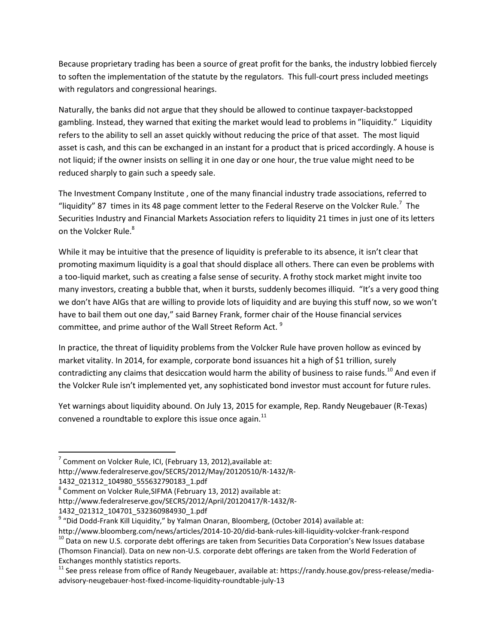Because proprietary trading has been a source of great profit for the banks, the industry lobbied fiercely to soften the implementation of the statute by the regulators. This full-court press included meetings with regulators and congressional hearings.

Naturally, the banks did not argue that they should be allowed to continue taxpayer-backstopped gambling. Instead, they warned that exiting the market would lead to problems in "liquidity." Liquidity refers to the ability to sell an asset quickly without reducing the price of that asset. The most liquid asset is cash, and this can be exchanged in an instant for a product that is priced accordingly. A house is not liquid; if the owner insists on selling it in one day or one hour, the true value might need to be reduced sharply to gain such a speedy sale.

The Investment Company Institute , one of the many financial industry trade associations, referred to "liquidity" 87 times in its 48 page comment letter to the Federal Reserve on the Volcker Rule.<sup>7</sup> The Securities Industry and Financial Markets Association refers to liquidity 21 times in just one of its letters on the Volcker Rule.<sup>8</sup>

While it may be intuitive that the presence of liquidity is preferable to its absence, it isn't clear that promoting maximum liquidity is a goal that should displace all others. There can even be problems with a too-liquid market, such as creating a false sense of security. A frothy stock market might invite too many investors, creating a bubble that, when it bursts, suddenly becomes illiquid. "It's a very good thing we don't have AIGs that are willing to provide lots of liquidity and are buying this stuff now, so we won't have to bail them out one day," said Barney Frank, former chair of the House financial services committee, and prime author of the Wall Street Reform Act.<sup>9</sup>

In practice, the threat of liquidity problems from the Volcker Rule have proven hollow as evinced by market vitality. In 2014, for example, corporate bond issuances hit a high of \$1 trillion, surely contradicting any claims that desiccation would harm the ability of business to raise funds.<sup>10</sup> And even if the Volcker Rule isn't implemented yet, any sophisticated bond investor must account for future rules.

Yet warnings about liquidity abound. On July 13, 2015 for example, Rep. Randy Neugebauer (R-Texas) convened a roundtable to explore this issue once again. $^{11}$ 

 $\overline{a}$ 

 $^7$  Comment on Volcker Rule, ICI, (February 13, 2012),available at: http://www.federalreserve.gov/SECRS/2012/May/20120510/R-1432/R-1432\_021312\_104980\_555632790183\_1.pdf

<sup>&</sup>lt;sup>8</sup> Comment on Volcker Rule, SIFMA (February 13, 2012) available at:

http://www.federalreserve.gov/SECRS/2012/April/20120417/R-1432/R-

<sup>1432</sup>\_021312\_104701\_532360984930\_1.pdf

<sup>&</sup>lt;sup>9</sup> "Did Dodd-Frank Kill Liquidity," by Yalman Onaran, Bloomberg, (October 2014) available at:

http://www.bloomberg.com/news/articles/2014-10-20/did-bank-rules-kill-liquidity-volcker-frank-respond <sup>10</sup> Data on new U.S. corporate debt offerings are taken from Securities Data Corporation's New Issues database (Thomson Financial). Data on new non-U.S. corporate debt offerings are taken from the World Federation of Exchanges monthly statistics reports.

<sup>11</sup> See press release from office of Randy Neugebauer, available at: https://randy.house.gov/press-release/mediaadvisory-neugebauer-host-fixed-income-liquidity-roundtable-july-13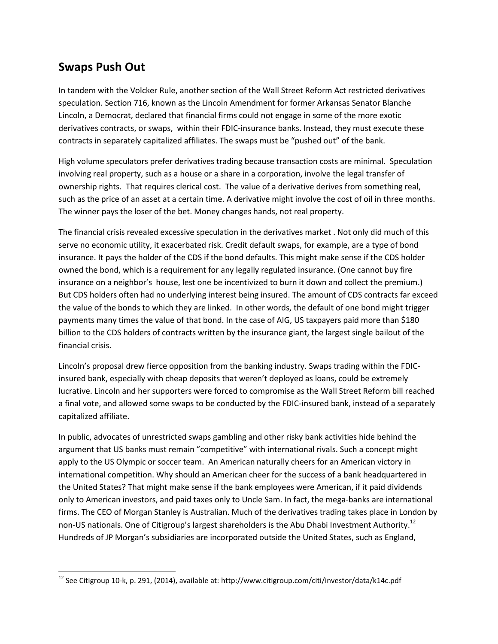# **Swaps Push Out**

 $\overline{\phantom{a}}$ 

In tandem with the Volcker Rule, another section of the Wall Street Reform Act restricted derivatives speculation. Section 716, known as the Lincoln Amendment for former Arkansas Senator Blanche Lincoln, a Democrat, declared that financial firms could not engage in some of the more exotic derivatives contracts, or swaps, within their FDIC-insurance banks. Instead, they must execute these contracts in separately capitalized affiliates. The swaps must be "pushed out" of the bank.

High volume speculators prefer derivatives trading because transaction costs are minimal. Speculation involving real property, such as a house or a share in a corporation, involve the legal transfer of ownership rights. That requires clerical cost. The value of a derivative derives from something real, such as the price of an asset at a certain time. A derivative might involve the cost of oil in three months. The winner pays the loser of the bet. Money changes hands, not real property.

The financial crisis revealed excessive speculation in the derivatives market . Not only did much of this serve no economic utility, it exacerbated risk. Credit default swaps, for example, are a type of bond insurance. It pays the holder of the CDS if the bond defaults. This might make sense if the CDS holder owned the bond, which is a requirement for any legally regulated insurance. (One cannot buy fire insurance on a neighbor's house, lest one be incentivized to burn it down and collect the premium.) But CDS holders often had no underlying interest being insured. The amount of CDS contracts far exceed the value of the bonds to which they are linked. In other words, the default of one bond might trigger payments many times the value of that bond. In the case of AIG, US taxpayers paid more than \$180 billion to the CDS holders of contracts written by the insurance giant, the largest single bailout of the financial crisis.

Lincoln's proposal drew fierce opposition from the banking industry. Swaps trading within the FDICinsured bank, especially with cheap deposits that weren't deployed as loans, could be extremely lucrative. Lincoln and her supporters were forced to compromise as the Wall Street Reform bill reached a final vote, and allowed some swaps to be conducted by the FDIC-insured bank, instead of a separately capitalized affiliate.

In public, advocates of unrestricted swaps gambling and other risky bank activities hide behind the argument that US banks must remain "competitive" with international rivals. Such a concept might apply to the US Olympic or soccer team. An American naturally cheers for an American victory in international competition. Why should an American cheer for the success of a bank headquartered in the United States? That might make sense if the bank employees were American, if it paid dividends only to American investors, and paid taxes only to Uncle Sam. In fact, the mega-banks are international firms. The CEO of Morgan Stanley is Australian. Much of the derivatives trading takes place in London by non-US nationals. One of Citigroup's largest shareholders is the Abu Dhabi Investment Authority.<sup>12</sup> Hundreds of JP Morgan's subsidiaries are incorporated outside the United States, such as England,

<sup>12</sup> See Citigroup 10-k, p. 291, (2014), available at: http://www.citigroup.com/citi/investor/data/k14c.pdf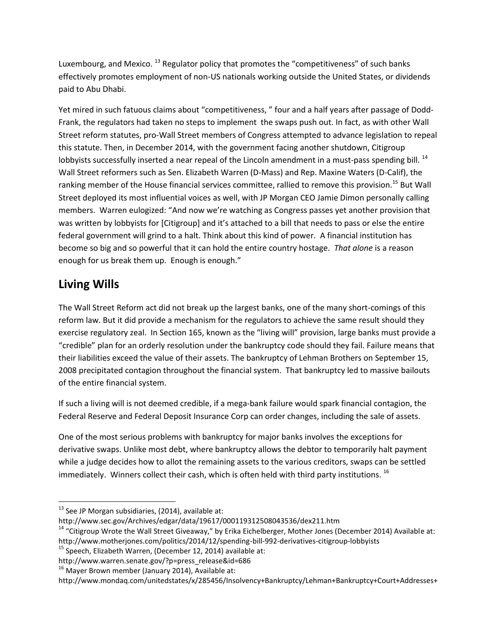Luxembourg, and Mexico.  $^{13}$  Regulator policy that promotes the "competitiveness" of such banks effectively promotes employment of non-US nationals working outside the United States, or dividends paid to Abu Dhabi.

Yet mired in such fatuous claims about "competitiveness, " four and a half years after passage of Dodd-Frank, the regulators had taken no steps to implement the swaps push out. In fact, as with other Wall Street reform statutes, pro-Wall Street members of Congress attempted to advance legislation to repeal this statute. Then, in December 2014, with the government facing another shutdown, Citigroup lobbyists successfully inserted a near repeal of the Lincoln amendment in a must-pass spending bill. <sup>14</sup> Wall Street reformers such as Sen. Elizabeth Warren (D-Mass) and Rep. Maxine Waters (D-Calif), the ranking member of the House financial services committee, rallied to remove this provision.<sup>15</sup> But Wall Street deployed its most influential voices as well, with JP Morgan CEO Jamie Dimon personally calling members. Warren eulogized: "And now we're watching as Congress passes yet another provision that was written by lobbyists for [Citigroup] and it's attached to a bill that needs to pass or else the entire federal government will grind to a halt. Think about this kind of power. A financial institution has become so big and so powerful that it can hold the entire country hostage. *That alone* is a reason enough for us break them up. Enough is enough."

# **Living Wills**

 $\overline{\phantom{a}}$ 

The Wall Street Reform act did not break up the largest banks, one of the many short-comings of this reform law. But it did provide a mechanism for the regulators to achieve the same result should they exercise regulatory zeal. In Section 165, known as the "living will" provision, large banks must provide a "credible" plan for an orderly resolution under the bankruptcy code should they fail. Failure means that their liabilities exceed the value of their assets. The bankruptcy of Lehman Brothers on September 15, 2008 precipitated contagion throughout the financial system. That bankruptcy led to massive bailouts of the entire financial system.

If such a living will is not deemed credible, if a mega-bank failure would spark financial contagion, the Federal Reserve and Federal Deposit Insurance Corp can order changes, including the sale of assets.

One of the most serious problems with bankruptcy for major banks involves the exceptions for derivative swaps. Unlike most debt, where bankruptcy allows the debtor to temporarily halt payment while a judge decides how to allot the remaining assets to the various creditors, swaps can be settled immediately. Winners collect their cash, which is often held with third party institutions.  $^{16}$ 

http://www.sec.gov/Archives/edgar/data/19617/000119312508043536/dex211.htm

<sup>&</sup>lt;sup>13</sup> See JP Morgan subsidiaries, (2014), available at:

<sup>&</sup>lt;sup>14</sup> "Citigroup Wrote the Wall Street Giveaway," by Erika Eichelberger, Mother Jones (December 2014) Available at: http://www.motherjones.com/politics/2014/12/spending-bill-992-derivatives-citigroup-lobbyists

 $15$  Speech, Elizabeth Warren, (December 12, 2014) available at:

http://www.warren.senate.gov/?p=press\_release&id=686

 $16$  Mayer Brown member (January 2014), Available at:

http://www.mondaq.com/unitedstates/x/285456/Insolvency+Bankruptcy/Lehman+Bankruptcy+Court+Addresses+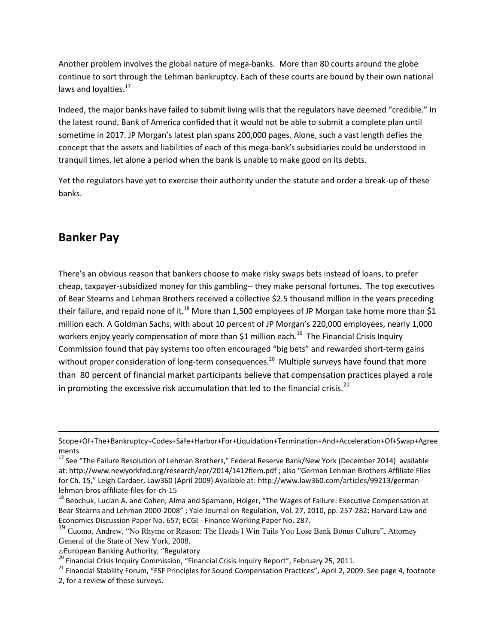Another problem involves the global nature of mega-banks. More than 80 courts around the globe continue to sort through the Lehman bankruptcy. Each of these courts are bound by their own national laws and loyalties.<sup>17</sup>

Indeed, the major banks have failed to submit living wills that the regulators have deemed "credible." In the latest round, Bank of America confided that it would not be able to submit a complete plan until sometime in 2017. JP Morgan's latest plan spans 200,000 pages. Alone, such a vast length defies the concept that the assets and liabilities of each of this mega-bank's subsidiaries could be understood in tranquil times, let alone a period when the bank is unable to make good on its debts.

Yet the regulators have yet to exercise their authority under the statute and order a break-up of these banks.

### **Banker Pay**

 $\overline{\phantom{a}}$ 

There's an obvious reason that bankers choose to make risky swaps bets instead of loans, to prefer cheap, taxpayer-subsidized money for this gambling-- they make personal fortunes. The top executives of Bear Stearns and Lehman Brothers received a collective \$2.5 thousand million in the years preceding their failure, and repaid none of it.<sup>18</sup> More than 1,500 employees of JP Morgan take home more than \$1 million each. A Goldman Sachs, with about 10 percent of JP Morgan's 220,000 employees, nearly 1,000 workers enjoy yearly compensation of more than \$1 million each.<sup>19</sup> The Financial Crisis Inquiry Commission found that pay systems too often encouraged "big bets" and rewarded short-term gains without proper consideration of long-term consequences.<sup>20</sup> Multiple surveys have found that more than 80 percent of financial market participants believe that compensation practices played a role in promoting the excessive risk accumulation that led to the financial crisis. $^{21}$ 

Scope+Of+The+Bankruptcy+Codes+Safe+Harbor+For+Liquidation+Termination+And+Acceleration+Of+Swap+Agree ments

<sup>&</sup>lt;sup>17</sup> See "The Failure Resolution of Lehman Brothers," Federal Reserve Bank/New York (December 2014) available at: http://www.newyorkfed.org/research/epr/2014/1412flem.pdf ; also "German Lehman Brothers Affiliate Flies for Ch. 15," Leigh Cardaer, Law360 (April 2009) Available at: http://www.law360.com/articles/99213/germanlehman-bros-affiliate-files-for-ch-15

<sup>&</sup>lt;sup>18</sup> Bebchuk, Lucian A. and Cohen, Alma and Spamann, Holger, "The Wages of Failure: Executive Compensation at Bear Stearns and Lehman 2000-2008" ; Yale Journal on Regulation, Vol. 27, 2010, pp. 257-282; Harvard Law and Economics Discussion Paper No. 657; ECGI - Finance Working Paper No. 287.

<sup>&</sup>lt;sup>19</sup> Cuomo, Andrew, "No Rhyme or Reason: The Heads I Win Tails You Lose Bank Bonus Culture", Attorney General of the State of New York, 2008.

<sup>22</sup>European Banking Authority, "Regulatory

<sup>&</sup>lt;sup>20</sup> Financial Crisis Inquiry Commission, "Financial Crisis Inquiry Report", February 25, 2011.

<sup>&</sup>lt;sup>21</sup> Financial Stability Forum, "FSF Principles for Sound Compensation Practices", April 2, 2009. See page 4, footnote 2, for a review of these surveys.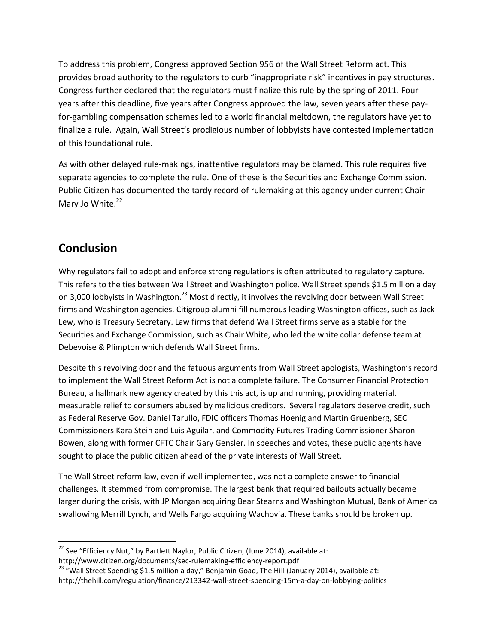To address this problem, Congress approved Section 956 of the Wall Street Reform act. This provides broad authority to the regulators to curb "inappropriate risk" incentives in pay structures. Congress further declared that the regulators must finalize this rule by the spring of 2011. Four years after this deadline, five years after Congress approved the law, seven years after these payfor-gambling compensation schemes led to a world financial meltdown, the regulators have yet to finalize a rule. Again, Wall Street's prodigious number of lobbyists have contested implementation of this foundational rule.

As with other delayed rule-makings, inattentive regulators may be blamed. This rule requires five separate agencies to complete the rule. One of these is the Securities and Exchange Commission. Public Citizen has documented the tardy record of rulemaking at this agency under current Chair Mary Jo White.<sup>22</sup>

# **Conclusion**

 $\overline{a}$ 

Why regulators fail to adopt and enforce strong regulations is often attributed to regulatory capture. This refers to the ties between Wall Street and Washington police. Wall Street spends \$1.5 million a day on 3,000 lobbyists in Washington.<sup>23</sup> Most directly, it involves the revolving door between Wall Street firms and Washington agencies. Citigroup alumni fill numerous leading Washington offices, such as Jack Lew, who is Treasury Secretary. Law firms that defend Wall Street firms serve as a stable for the Securities and Exchange Commission, such as Chair White, who led the white collar defense team at Debevoise & Plimpton which defends Wall Street firms.

Despite this revolving door and the fatuous arguments from Wall Street apologists, Washington's record to implement the Wall Street Reform Act is not a complete failure. The Consumer Financial Protection Bureau, a hallmark new agency created by this this act, is up and running, providing material, measurable relief to consumers abused by malicious creditors. Several regulators deserve credit, such as Federal Reserve Gov. Daniel Tarullo, FDIC officers Thomas Hoenig and Martin Gruenberg, SEC Commissioners Kara Stein and Luis Aguilar, and Commodity Futures Trading Commissioner Sharon Bowen, along with former CFTC Chair Gary Gensler. In speeches and votes, these public agents have sought to place the public citizen ahead of the private interests of Wall Street.

The Wall Street reform law, even if well implemented, was not a complete answer to financial challenges. It stemmed from compromise. The largest bank that required bailouts actually became larger during the crisis, with JP Morgan acquiring Bear Stearns and Washington Mutual, Bank of America swallowing Merrill Lynch, and Wells Fargo acquiring Wachovia. These banks should be broken up.

 $^{22}$  See "Efficiency Nut," by Bartlett Naylor, Public Citizen, (June 2014), available at: http://www.citizen.org/documents/sec-rulemaking-efficiency-report.pdf

 $23$  "Wall Street Spending \$1.5 million a day," Benjamin Goad, The Hill (January 2014), available at: http://thehill.com/regulation/finance/213342-wall-street-spending-15m-a-day-on-lobbying-politics